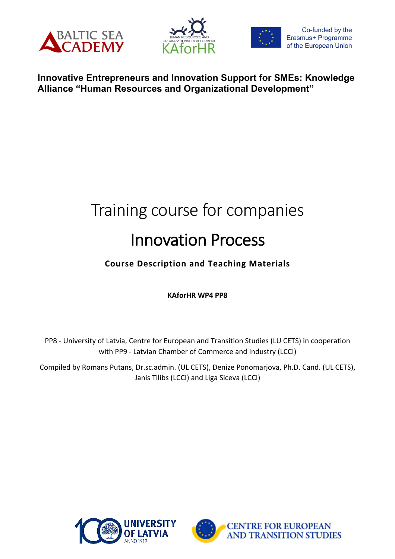





# **Innovative Entrepreneurs and Innovation Support for SMEs: Knowledge Alliance "Human Resources and Organizational Development"**

# Training course for companies Innovation Process

# **Course Description and Teaching Materials**

**KAforHR WP4 PP8**

PP8 - University of Latvia, Centre for European and Transition Studies (LU CETS) in cooperation with PP9 - Latvian Chamber of Commerce and Industry (LCCI)

Compiled by Romans Putans, Dr.sc.admin. (UL CETS), Denize Ponomarjova, Ph.D. Cand. (UL CETS), Janis Tilibs (LCCI) and Liga Siceva (LCCI)



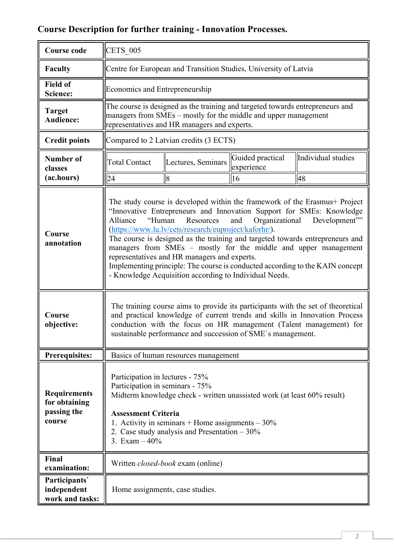# **Course Description for further training - Innovation Processes.**

| <b>Course code</b>                                            | <b>CETS 005</b>                                                                                                                                                                                                                                                                                                                                                                                                                                                                                                                                                                                                                        |                                          |                                |                    |  |  |
|---------------------------------------------------------------|----------------------------------------------------------------------------------------------------------------------------------------------------------------------------------------------------------------------------------------------------------------------------------------------------------------------------------------------------------------------------------------------------------------------------------------------------------------------------------------------------------------------------------------------------------------------------------------------------------------------------------------|------------------------------------------|--------------------------------|--------------------|--|--|
| <b>Faculty</b>                                                | Centre for European and Transition Studies, University of Latvia                                                                                                                                                                                                                                                                                                                                                                                                                                                                                                                                                                       |                                          |                                |                    |  |  |
| <b>Field of</b><br>Science:                                   | Economics and Entrepreneurship                                                                                                                                                                                                                                                                                                                                                                                                                                                                                                                                                                                                         |                                          |                                |                    |  |  |
| <b>Target</b><br><b>Audience:</b>                             | The course is designed as the training and targeted towards entrepreneurs and<br>managers from SMEs – mostly for the middle and upper management<br>representatives and HR managers and experts.                                                                                                                                                                                                                                                                                                                                                                                                                                       |                                          |                                |                    |  |  |
| <b>Credit points</b>                                          | Compared to 2 Latvian credits (3 ECTS)                                                                                                                                                                                                                                                                                                                                                                                                                                                                                                                                                                                                 |                                          |                                |                    |  |  |
| Number of<br>classes                                          | <b>Total Contact</b>                                                                                                                                                                                                                                                                                                                                                                                                                                                                                                                                                                                                                   | Lectures, Seminars                       | Guided practical<br>experience | Individual studies |  |  |
| (ac.hours)                                                    | 24                                                                                                                                                                                                                                                                                                                                                                                                                                                                                                                                                                                                                                     | 8                                        | 16                             | 48                 |  |  |
| Course<br>annotation                                          | The study course is developed within the framework of the Erasmus+ Project<br>"Innovative Entrepreneurs and Innovation Support for SMEs: Knowledge<br>"Human<br>Resources<br>Organizational<br>Alliance<br>and<br>Development"<br>(https://www.lu.lv/cets/research/euproject/kaforhr/).<br>The course is designed as the training and targeted towards entrepreneurs and<br>managers from SMEs – mostly for the middle and upper management<br>representatives and HR managers and experts.<br>Implementing principle: The course is conducted according to the KAIN concept<br>- Knowledge Acquisition according to Individual Needs. |                                          |                                |                    |  |  |
| Course<br>objective:                                          | The training course aims to provide its participants with the set of theoretical<br>and practical knowledge of current trends and skills in Innovation Process<br>conduction with the focus on HR management (Talent management) for<br>sustainable performance and succession of SME's management.                                                                                                                                                                                                                                                                                                                                    |                                          |                                |                    |  |  |
| <b>Prerequisites:</b>                                         | Basics of human resources management                                                                                                                                                                                                                                                                                                                                                                                                                                                                                                                                                                                                   |                                          |                                |                    |  |  |
| <b>Requirements</b><br>for obtaining<br>passing the<br>course | Participation in lectures - 75%<br>Participation in seminars - 75%<br>Midterm knowledge check - written unassisted work (at least 60% result)<br><b>Assessment Criteria</b><br>1. Activity in seminars $+$ Home assignments $-30\%$<br>2. Case study analysis and Presentation $-30\%$<br>3. Exam $-40\%$                                                                                                                                                                                                                                                                                                                              |                                          |                                |                    |  |  |
| Final<br>examination:                                         |                                                                                                                                                                                                                                                                                                                                                                                                                                                                                                                                                                                                                                        | Written <i>closed-book</i> exam (online) |                                |                    |  |  |
| Participants'<br>independent<br>work and tasks:               |                                                                                                                                                                                                                                                                                                                                                                                                                                                                                                                                                                                                                                        | Home assignments, case studies.          |                                |                    |  |  |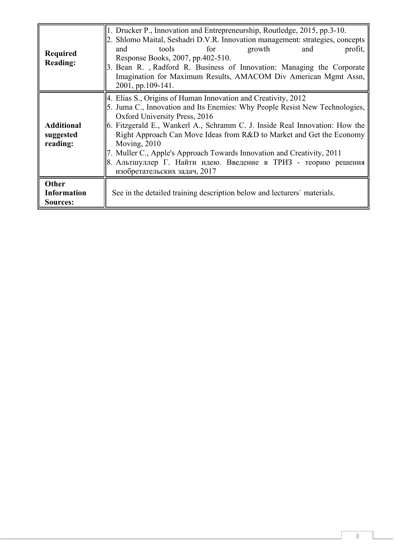| <b>Required</b><br><b>Reading:</b>         | 1. Drucker P., Innovation and Entrepreneurship, Routledge, 2015, pp.3-10.<br>2. Shlomo Maital, Seshadri D.V.R. Innovation management: strategies, concepts<br>for<br>growth<br>tools<br>and<br>and<br>profit,<br>Response Books, 2007, pp.402-510.<br>3. Bean R., Radford R. Business of Innovation: Managing the Corporate<br>Imagination for Maximum Results, AMACOM Div American Mgmt Assn,<br>2001, pp.109-141.                                                                                                               |  |  |  |  |
|--------------------------------------------|-----------------------------------------------------------------------------------------------------------------------------------------------------------------------------------------------------------------------------------------------------------------------------------------------------------------------------------------------------------------------------------------------------------------------------------------------------------------------------------------------------------------------------------|--|--|--|--|
| <b>Additional</b><br>suggested<br>reading: | 4. Elias S., Origins of Human Innovation and Creativity, 2012<br>5. Juma C., Innovation and Its Enemies: Why People Resist New Technologies,<br>Oxford University Press, 2016<br>6. Fitzgerald E., Wankerl A., Schramm C. J. Inside Real Innovation: How the<br>Right Approach Can Move Ideas from R&D to Market and Get the Economy<br>Moving, $2010$<br>7. Muller C., Apple's Approach Towards Innovation and Creativity, 2011<br>8. Альтшуллер Г. Найти идею. Введение в ТРИЗ - теорию решения<br>изобретательских задач, 2017 |  |  |  |  |
| Other<br><b>Information</b><br>Sources:    | See in the detailed training description below and lecturers' materials.                                                                                                                                                                                                                                                                                                                                                                                                                                                          |  |  |  |  |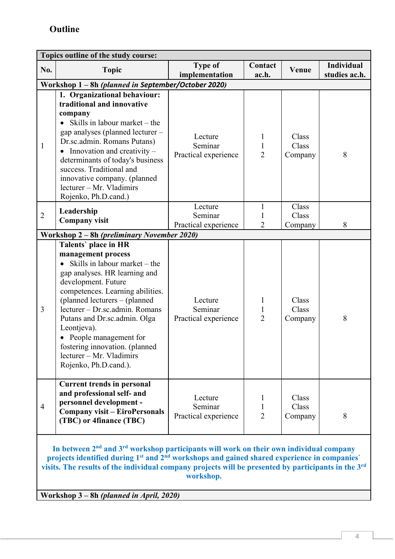| Topics outline of the study course:                                                                                                                                                                                                                                                                                                                                   |                                                                                                                                                                                                                                                                                                                                                                                   |                                            |                                               |                           |                                    |  |
|-----------------------------------------------------------------------------------------------------------------------------------------------------------------------------------------------------------------------------------------------------------------------------------------------------------------------------------------------------------------------|-----------------------------------------------------------------------------------------------------------------------------------------------------------------------------------------------------------------------------------------------------------------------------------------------------------------------------------------------------------------------------------|--------------------------------------------|-----------------------------------------------|---------------------------|------------------------------------|--|
| No.                                                                                                                                                                                                                                                                                                                                                                   | <b>Topic</b>                                                                                                                                                                                                                                                                                                                                                                      | <b>Type of</b><br>implementation           | Contact<br>ac.h.                              | Venue                     | <b>Individual</b><br>studies ac.h. |  |
|                                                                                                                                                                                                                                                                                                                                                                       | Workshop 1 - 8h (planned in September/October 2020)                                                                                                                                                                                                                                                                                                                               |                                            |                                               |                           |                                    |  |
| $\mathbf{1}$                                                                                                                                                                                                                                                                                                                                                          | 1. Organizational behaviour:<br>traditional and innovative<br>company<br>Skills in labour market – the<br>gap analyses (planned lecturer -<br>Dr.sc.admin. Romans Putans)<br>Innovation and creativity –<br>determinants of today's business<br>success. Traditional and<br>innovative company. (planned<br>lecturer - Mr. Vladimirs<br>Rojenko, Ph.D.cand.)                      | Lecture<br>Seminar<br>Practical experience | 1<br>$\mathbf{1}$<br>$\overline{2}$           | Class<br>Class<br>Company | 8                                  |  |
|                                                                                                                                                                                                                                                                                                                                                                       | Leadership                                                                                                                                                                                                                                                                                                                                                                        | Lecture                                    | 1                                             | Class                     |                                    |  |
| $\overline{2}$                                                                                                                                                                                                                                                                                                                                                        | <b>Company visit</b>                                                                                                                                                                                                                                                                                                                                                              | Seminar<br>Practical experience            | 1<br>$\overline{2}$                           | Class<br>Company          | 8                                  |  |
|                                                                                                                                                                                                                                                                                                                                                                       | Workshop 2 – 8h (preliminary November 2020)                                                                                                                                                                                                                                                                                                                                       |                                            |                                               |                           |                                    |  |
|                                                                                                                                                                                                                                                                                                                                                                       | Talents' place in HR                                                                                                                                                                                                                                                                                                                                                              |                                            |                                               |                           |                                    |  |
| 3                                                                                                                                                                                                                                                                                                                                                                     | management process<br>Skills in labour market – the<br>gap analyses. HR learning and<br>development. Future<br>competences. Learning abilities.<br>(planned lecturers – (planned<br>lecturer - Dr.sc.admin. Romans<br>Putans and Dr.sc.admin. Olga<br>Leontjeva).<br>People management for<br>fostering innovation. (planned<br>lecturer - Mr. Vladimirs<br>Rojenko, Ph.D.cand.). | Lecture<br>Seminar<br>Practical experience | 1<br>$\mathbf{1}$<br>$\overline{2}$           | Class<br>Class<br>Company | 8                                  |  |
| $\overline{4}$                                                                                                                                                                                                                                                                                                                                                        | <b>Current trends in personal</b><br>and professional self- and<br>personnel development -<br><b>Company visit - EiroPersonals</b><br>(TBC) or 4finance (TBC)                                                                                                                                                                                                                     | Lecture<br>Seminar<br>Practical experience | $\mathbf 1$<br>$\mathbf{1}$<br>$\overline{2}$ | Class<br>Class<br>Company | 8                                  |  |
| In between 2 <sup>nd</sup> and 3 <sup>rd</sup> workshop participants will work on their own individual company<br>projects identified during 1 <sup>st</sup> and 2 <sup>nd</sup> workshops and gained shared experience in companies'<br>visits. The results of the individual company projects will be presented by participants in the 3 <sup>rd</sup><br>workshop. |                                                                                                                                                                                                                                                                                                                                                                                   |                                            |                                               |                           |                                    |  |

**Workshop 3 – 8h** *(planned in April, 2020)*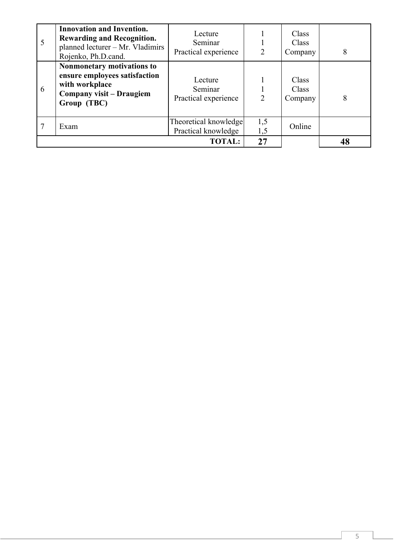| 5 | <b>Innovation and Invention.</b><br><b>Rewarding and Recognition.</b><br>planned lecturer - Mr. Vladimirs<br>Rojenko, Ph.D.cand. | Lecture<br>Seminar<br>Practical experience   | $\overline{2}$ | Class<br>Class<br>Company | 8  |
|---|----------------------------------------------------------------------------------------------------------------------------------|----------------------------------------------|----------------|---------------------------|----|
| 6 | Nonmonetary motivations to<br>ensure employees satisfaction<br>with workplace<br>Company visit – Draugiem<br>Group (TBC)         | Lecture<br>Seminar<br>Practical experience   | $\overline{2}$ | Class<br>Class<br>Company | 8  |
|   | Exam                                                                                                                             | Theoretical knowledge<br>Practical knowledge | 1,5<br>1,5     | Online                    |    |
|   |                                                                                                                                  | <b>TOTAL:</b>                                | 27             |                           | 48 |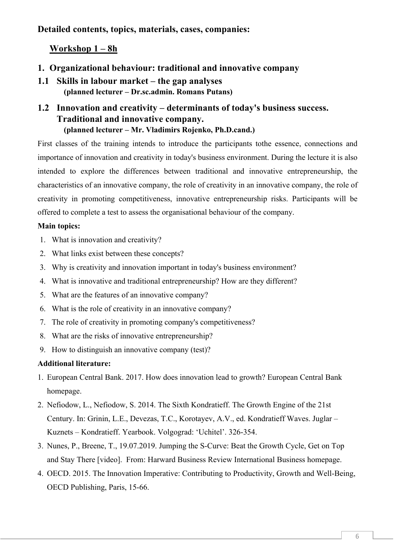**Detailed contents, topics, materials, cases, companies:**

# **Workshop 1 – 8h**

- **1. Organizational behaviour: traditional and innovative company**
- **1.1 Skills in labour market – the gap analyses (planned lecturer – Dr.sc.admin. Romans Putans)**

# **1.2 Innovation and creativity – determinants of today's business success. Traditional and innovative company. (planned lecturer – Mr. Vladimirs Rojenko, Ph.D.cand.)**

First classes of the training intends to introduce the participants tothe essence, connections and importance of innovation and creativity in today's business environment. During the lecture it is also intended to explore the differences between traditional and innovative entrepreneurship, the characteristics of an innovative company, the role of creativity in an innovative company, the role of creativity in promoting competitiveness, innovative entrepreneurship risks. Participants will be offered to complete a test to assess the organisational behaviour of the company.

#### **Main topics:**

- 1. What is innovation and creativity?
- 2. What links exist between these concepts?
- 3. Why is creativity and innovation important in today's business environment?
- 4. What is innovative and traditional entrepreneurship? How are they different?
- 5. What are the features of an innovative company?
- 6. What is the role of creativity in an innovative company?
- 7. The role of creativity in promoting company's competitiveness?
- 8. What are the risks of innovative entrepreneurship?
- 9. How to distinguish an innovative company (test)?

#### **Additional literature:**

- 1. European Central Bank. 2017. How does innovation lead to growth? European Central Bank homepage.
- 2. Nefiodow, L., Nefiodow, S. 2014. The Sixth Kondratieff. The Growth Engine of the 21st Century. In: Grinin, L.E., Devezas, T.C., Korotayev, A.V., ed. Kondratieff Waves. Juglar – Kuznets – Kondratieff. Yearbook. Volgograd: 'Uchitel'. 326-354.
- 3. Nunes, P., Breene, T., 19.07.2019. Jumping the S-Curve: Beat the Growth Cycle, Get on Top and Stay There [video]. From: Harward Business Review International Business homepage.
- 4. OECD. 2015. The Innovation Imperative: Contributing to Productivity, Growth and Well-Being, OECD Publishing, Paris, 15-66.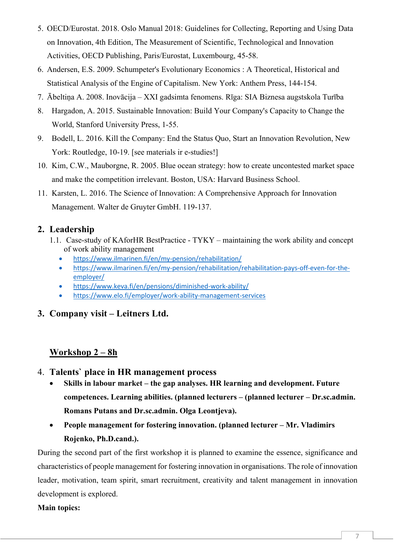- 5. OECD/Eurostat. 2018. Oslo Manual 2018: Guidelines for Collecting, Reporting and Using Data on Innovation, 4th Edition, The Measurement of Scientific, Technological and Innovation Activities, OECD Publishing, Paris/Eurostat, Luxembourg, 45-58.
- 6. Andersen, E.S. 2009. Schumpeter's Evolutionary Economics : A Theoretical, Historical and Statistical Analysis of the Engine of Capitalism. New York: Anthem Press, 144-154.
- 7. Ābeltiņa A. 2008. Inovācija XXI gadsimta fenomens. Rīga: SIA Biznesa augstskola Turība
- 8. Hargadon, A. 2015. Sustainable Innovation: Build Your Company's Capacity to Change the World, Stanford University Press, 1-55.
- 9. Bodell, L. 2016. Kill the Company: End the Status Quo, Start an Innovation Revolution, New York: Routledge, 10-19. [see materials ir e-studies!]
- 10. Kim, C.W., Mauborgne, R. 2005. Blue ocean strategy: how to create uncontested market space and make the competition irrelevant. Boston, USA: Harvard Business School.
- 11. Karsten, L. 2016. The Science of Innovation: A Comprehensive Approach for Innovation Management. Walter de Gruyter GmbH. 119-137.

#### **2. Leadership**

- 1.1. Case-study of KAforHR BestPractice TYKY maintaining the work ability and concept of work ability management
	- https://www.ilmarinen.fi/en/my-pension/rehabilitation/
	- https://www.ilmarinen.fi/en/my-pension/rehabilitation/rehabilitation-pays-off-even-for-theemployer/
	- https://www.keva.fi/en/pensions/diminished-work-ability/
	- https://www.elo.fi/employer/work-ability-management-services
- **3. Company visit – Leitners Ltd.**

# **Workshop 2 – 8h**

- 4. **Talents` place in HR management process**
	- **Skills in labour market – the gap analyses. HR learning and development. Future competences. Learning abilities. (planned lecturers – (planned lecturer – Dr.sc.admin. Romans Putans and Dr.sc.admin. Olga Leontjeva).**
	- **People management for fostering innovation. (planned lecturer – Mr. Vladimirs Rojenko, Ph.D.cand.).**

During the second part of the first workshop it is planned to examine the essence, significance and characteristics of people management for fostering innovation in organisations. The role of innovation leader, motivation, team spirit, smart recruitment, creativity and talent management in innovation development is explored.

#### **Main topics:**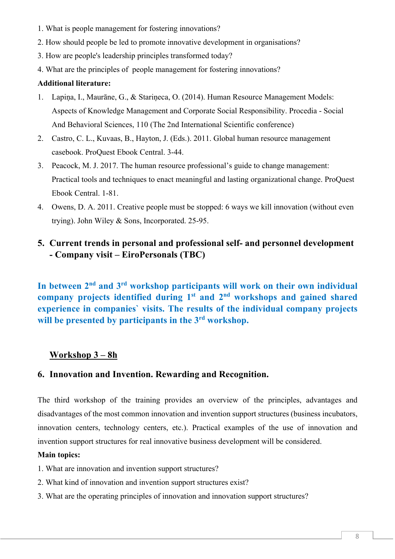- 1. What is people management for fostering innovations?
- 2. How should people be led to promote innovative development in organisations?
- 3. How are people's leadership principles transformed today?
- 4. What are the principles of people management for fostering innovations?

#### **Additional literature:**

- 1. Lapiņa, I., Maurāne, G., & Stariņeca, O. (2014). Human Resource Management Models: Aspects of Knowledge Management and Corporate Social Responsibility. Procedia - Social And Behavioral Sciences, 110 (The 2nd International Scientific conference)
- 2. Castro, C. L., Kuvaas, B., Hayton, J. (Eds.). 2011. Global human resource management casebook. ProQuest Ebook Central. 3-44.
- 3. Peacock, M. J. 2017. The human resource professional's guide to change management: Practical tools and techniques to enact meaningful and lasting organizational change. ProQuest Ebook Central. 1-81.
- 4. Owens, D. A. 2011. Creative people must be stopped: 6 ways we kill innovation (without even trying). John Wiley & Sons, Incorporated. 25-95.

# **5. Current trends in personal and professional self- and personnel development - Company visit – EiroPersonals (TBC)**

**In between 2nd and 3rd workshop participants will work on their own individual company projects identified during 1st and 2nd workshops and gained shared experience in companies` visits. The results of the individual company projects will be presented by participants in the 3rd workshop.**

# **Workshop 3 – 8h**

#### **6. Innovation and Invention. Rewarding and Recognition.**

The third workshop of the training provides an overview of the principles, advantages and disadvantages of the most common innovation and invention support structures (business incubators, innovation centers, technology centers, etc.). Practical examples of the use of innovation and invention support structures for real innovative business development will be considered.

#### **Main topics:**

- 1. What are innovation and invention support structures?
- 2. What kind of innovation and invention support structures exist?
- 3. What are the operating principles of innovation and innovation support structures?